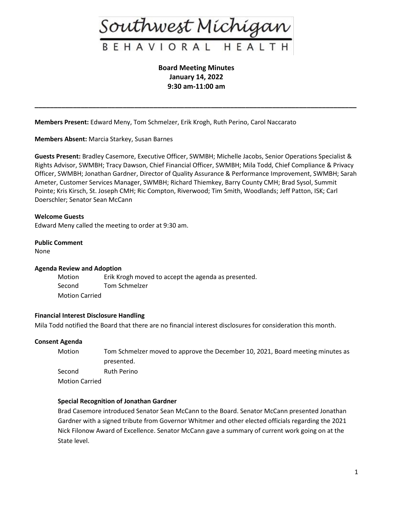

**Board Meeting Minutes January 14, 2022 9:30 am-11:00 am**

**\_\_\_\_\_\_\_\_\_\_\_\_\_\_\_\_\_\_\_\_\_\_\_\_\_\_\_\_\_\_\_\_\_\_\_\_\_\_\_\_\_\_\_\_\_\_\_\_\_\_\_\_\_\_\_\_\_\_\_\_\_\_\_\_\_\_\_\_\_\_\_\_\_\_\_\_\_\_\_\_\_\_\_\_**

**Members Present:** Edward Meny, Tom Schmelzer, Erik Krogh, Ruth Perino, Carol Naccarato

**Members Absent:** Marcia Starkey, Susan Barnes

**Guests Present:** Bradley Casemore, Executive Officer, SWMBH; Michelle Jacobs, Senior Operations Specialist & Rights Advisor, SWMBH; Tracy Dawson, Chief Financial Officer, SWMBH; Mila Todd, Chief Compliance & Privacy Officer, SWMBH; Jonathan Gardner, Director of Quality Assurance & Performance Improvement, SWMBH; Sarah Ameter, Customer Services Manager, SWMBH; Richard Thiemkey, Barry County CMH; Brad Sysol, Summit Pointe; Kris Kirsch, St. Joseph CMH; Ric Compton, Riverwood; Tim Smith, Woodlands; Jeff Patton, ISK; Carl Doerschler; Senator Sean McCann

### **Welcome Guests**

Edward Meny called the meeting to order at 9:30 am.

#### **Public Comment**

None

#### **Agenda Review and Adoption**

Motion Erik Krogh moved to accept the agenda as presented. Second Tom Schmelzer Motion Carried

#### **Financial Interest Disclosure Handling**

Mila Todd notified the Board that there are no financial interest disclosures for consideration this month.

#### **Consent Agenda**

| Motion                | Tom Schmelzer moved to approve the December 10, 2021, Board meeting minutes as |
|-----------------------|--------------------------------------------------------------------------------|
|                       | presented.                                                                     |
| Second                | Ruth Perino                                                                    |
| <b>Motion Carried</b> |                                                                                |

#### **Special Recognition of Jonathan Gardner**

Brad Casemore introduced Senator Sean McCann to the Board. Senator McCann presented Jonathan Gardner with a signed tribute from Governor Whitmer and other elected officials regarding the 2021 Nick Filonow Award of Excellence. Senator McCann gave a summary of current work going on at the State level.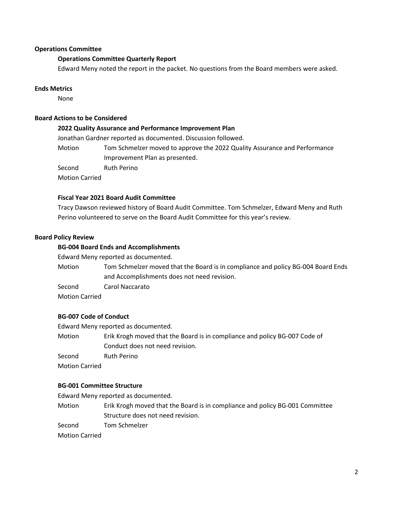## **Operations Committee**

## **Operations Committee Quarterly Report**

Edward Meny noted the report in the packet. No questions from the Board members were asked.

### **Ends Metrics**

None

## **Board Actions to be Considered**

#### **2022 Quality Assurance and Performance Improvement Plan**

Jonathan Gardner reported as documented. Discussion followed.

Motion Tom Schmelzer moved to approve the 2022 Quality Assurance and Performance Improvement Plan as presented.

Second Ruth Perino

Motion Carried

## **Fiscal Year 2021 Board Audit Committee**

Tracy Dawson reviewed history of Board Audit Committee. Tom Schmelzer, Edward Meny and Ruth Perino volunteered to serve on the Board Audit Committee for this year's review.

### **Board Policy Review**

### **BG-004 Board Ends and Accomplishments**

Edward Meny reported as documented.

Motion Tom Schmelzer moved that the Board is in compliance and policy BG-004 Board Ends and Accomplishments does not need revision.

Second Carol Naccarato

Motion Carried

#### **BG-007 Code of Conduct**

Edward Meny reported as documented.

Motion Erik Krogh moved that the Board is in compliance and policy BG-007 Code of Conduct does not need revision.

Second Ruth Perino

Motion Carried

#### **BG-001 Committee Structure**

Edward Meny reported as documented.

Motion Erik Krogh moved that the Board is in compliance and policy BG-001 Committee Structure does not need revision.

Second Tom Schmelzer

Motion Carried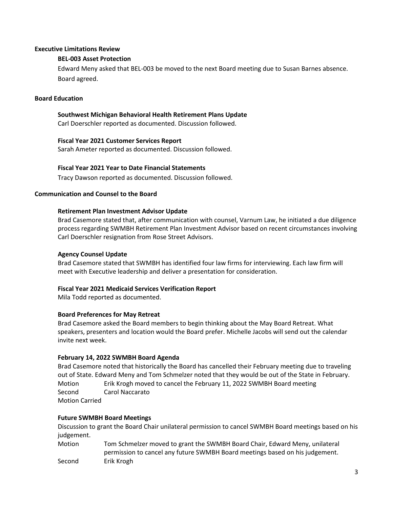## **Executive Limitations Review**

## **BEL-003 Asset Protection**

Edward Meny asked that BEL-003 be moved to the next Board meeting due to Susan Barnes absence. Board agreed.

### **Board Education**

## **Southwest Michigan Behavioral Health Retirement Plans Update**

Carl Doerschler reported as documented. Discussion followed.

### **Fiscal Year 2021 Customer Services Report**

Sarah Ameter reported as documented. Discussion followed.

## **Fiscal Year 2021 Year to Date Financial Statements**

Tracy Dawson reported as documented. Discussion followed.

## **Communication and Counsel to the Board**

### **Retirement Plan Investment Advisor Update**

Brad Casemore stated that, after communication with counsel, Varnum Law, he initiated a due diligence process regarding SWMBH Retirement Plan Investment Advisor based on recent circumstances involving Carl Doerschler resignation from Rose Street Advisors.

## **Agency Counsel Update**

Brad Casemore stated that SWMBH has identified four law firms for interviewing. Each law firm will meet with Executive leadership and deliver a presentation for consideration.

## **Fiscal Year 2021 Medicaid Services Verification Report**

Mila Todd reported as documented.

## **Board Preferences for May Retreat**

Brad Casemore asked the Board members to begin thinking about the May Board Retreat. What speakers, presenters and location would the Board prefer. Michelle Jacobs will send out the calendar invite next week.

## **February 14, 2022 SWMBH Board Agenda**

Brad Casemore noted that historically the Board has cancelled their February meeting due to traveling out of State. Edward Meny and Tom Schmelzer noted that they would be out of the State in February. Motion Erik Krogh moved to cancel the February 11, 2022 SWMBH Board meeting Second Carol Naccarato Motion Carried

## **Future SWMBH Board Meetings**

Discussion to grant the Board Chair unilateral permission to cancel SWMBH Board meetings based on his judgement.

Motion Tom Schmelzer moved to grant the SWMBH Board Chair, Edward Meny, unilateral permission to cancel any future SWMBH Board meetings based on his judgement. Second Erik Krogh